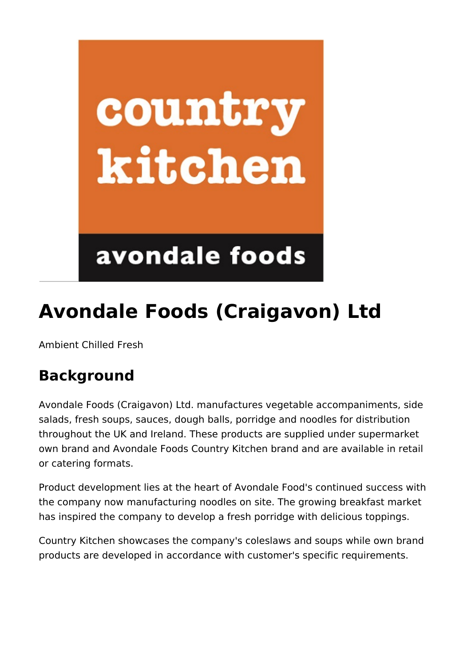

# avondale foods

## **Avondale Foods (Craigavon) Ltd**

Ambient Chilled Fresh

#### **Background**

Avondale Foods (Craigavon) Ltd. manufactures vegetable accompaniments, side salads, fresh soups, sauces, dough balls, porridge and noodles for distribution throughout the UK and Ireland. These products are supplied under supermarket own brand and Avondale Foods Country Kitchen brand and are available in retail or catering formats.

Product development lies at the heart of Avondale Food's continued success with the company now manufacturing noodles on site. The growing breakfast market has inspired the company to develop a fresh porridge with delicious toppings.

Country Kitchen showcases the company's coleslaws and soups while own brand products are developed in accordance with customer's specific requirements.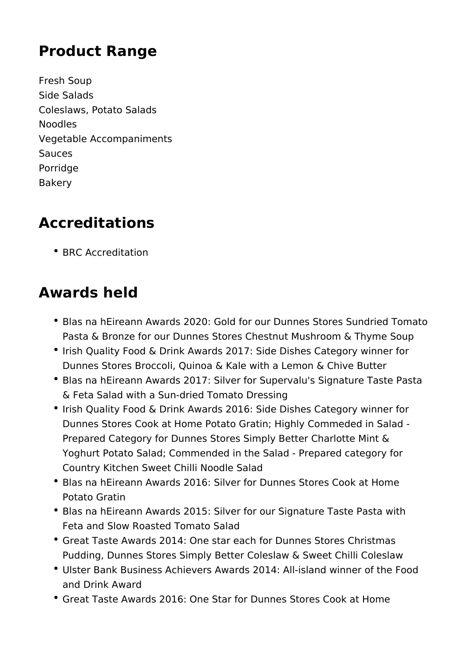### **Product Range**

Fresh Soup Side Salads Coleslaws, Potato Salads Noodles Vegetable Accompaniments Sauces Porridge Bakery

### **Accreditations**

• BRC Accreditation

#### **Awards held**

- Blas na hEireann Awards 2020: Gold for our Dunnes Stores Sundried Tomato Pasta & Bronze for our Dunnes Stores Chestnut Mushroom & Thyme Soup
- Irish Quality Food & Drink Awards 2017: Side Dishes Category winner for Dunnes Stores Broccoli, Quinoa & Kale with a Lemon & Chive Butter
- Blas na hEireann Awards 2017: Silver for Supervalu's Signature Taste Pasta & Feta Salad with a Sun-dried Tomato Dressing
- Irish Quality Food & Drink Awards 2016: Side Dishes Category winner for Dunnes Stores Cook at Home Potato Gratin; Highly Commeded in Salad - Prepared Category for Dunnes Stores Simply Better Charlotte Mint & Yoghurt Potato Salad; Commended in the Salad - Prepared category for Country Kitchen Sweet Chilli Noodle Salad
- Blas na hEireann Awards 2016: Silver for Dunnes Stores Cook at Home Potato Gratin
- Blas na hEireann Awards 2015: Silver for our Signature Taste Pasta with Feta and Slow Roasted Tomato Salad
- Great Taste Awards 2014: One star each for Dunnes Stores Christmas Pudding, Dunnes Stores Simply Better Coleslaw & Sweet Chilli Coleslaw
- Ulster Bank Business Achievers Awards 2014: All-island winner of the Food and Drink Award
- Great Taste Awards 2016: One Star for Dunnes Stores Cook at Home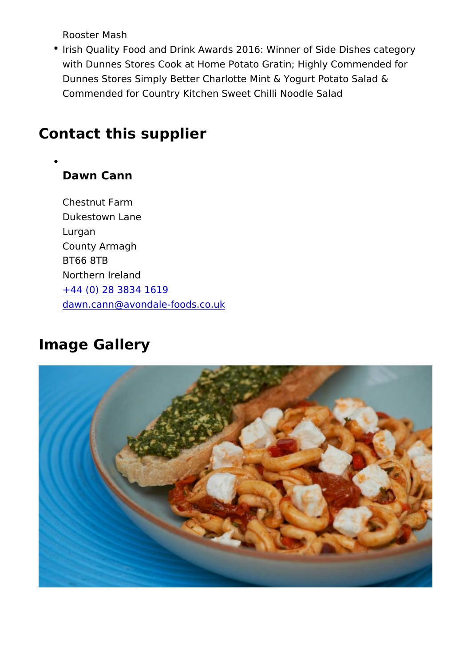Rooster Mash

• Irish Quality Food and Drink Awards 2016: Winner of Side D with Dunnes Stores Cook at Home Potato Gratin; Highly Com Dunnes Stores Simply Better Charlotte Mint & Yogurt Potato Commended for Country Kitchen Sweet Chilli Noodle Salad

#### Contact this supplier

Dawn Cann

Chestnut Farm Dukestown Lane Lurgan County Armagh BT66 8TB Northern Ireland [+44 \(0\) 28 3834](tel:+44(0)2838341619) 1619 [dawn.cann@avondale-fo](mailto:dawn.cann@avondale-foods.co.uk)ods.co.uk

Image Gallery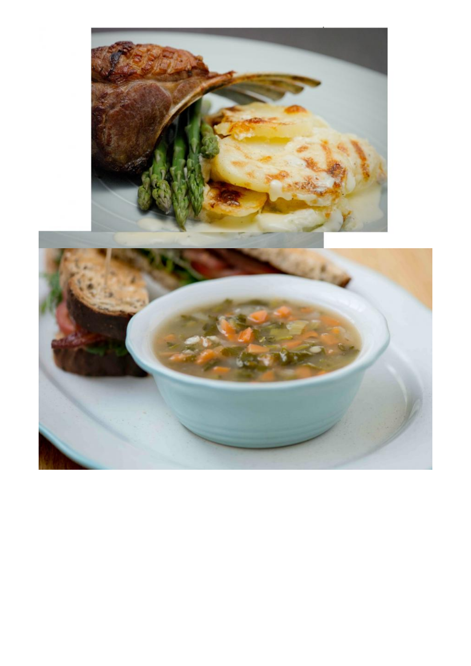